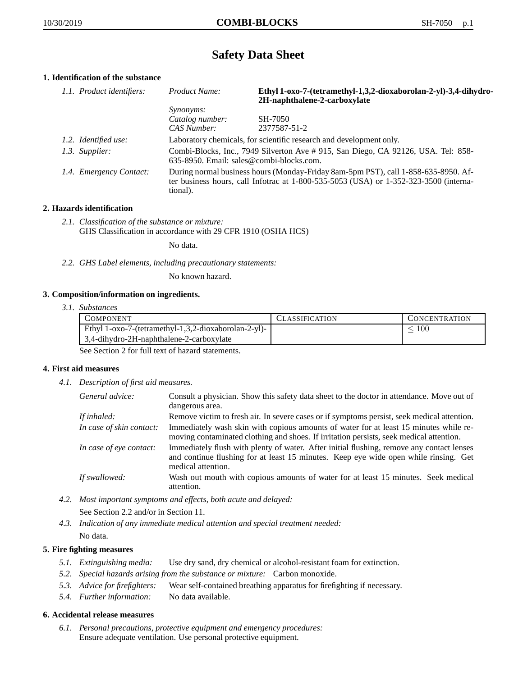# **Safety Data Sheet**

# **1. Identification of the substance**

| 1.1. Product identifiers: | Product Name:                                                                                                                                                                           | Ethyl 1-oxo-7-(tetramethyl-1,3,2-dioxaborolan-2-yl)-3,4-dihydro-<br>2H-naphthalene-2-carboxylate |
|---------------------------|-----------------------------------------------------------------------------------------------------------------------------------------------------------------------------------------|--------------------------------------------------------------------------------------------------|
|                           | <i>Synonyms:</i>                                                                                                                                                                        |                                                                                                  |
|                           | Catalog number:                                                                                                                                                                         | SH-7050                                                                                          |
|                           | CAS Number:                                                                                                                                                                             | 2377587-51-2                                                                                     |
| 1.2. Identified use:      | Laboratory chemicals, for scientific research and development only.                                                                                                                     |                                                                                                  |
| 1.3. Supplier:            | Combi-Blocks, Inc., 7949 Silverton Ave #915, San Diego, CA 92126, USA. Tel: 858-<br>635-8950. Email: sales@combi-blocks.com.                                                            |                                                                                                  |
| 1.4. Emergency Contact:   | During normal business hours (Monday-Friday 8am-5pm PST), call 1-858-635-8950. Af-<br>ter business hours, call Infotrac at 1-800-535-5053 (USA) or 1-352-323-3500 (interna-<br>tional). |                                                                                                  |

### **2. Hazards identification**

*2.1. Classification of the substance or mixture:* GHS Classification in accordance with 29 CFR 1910 (OSHA HCS)

No data.

*2.2. GHS Label elements, including precautionary statements:*

No known hazard.

#### **3. Composition/information on ingredients.**

*3.1. Substances*

| <b>COMPONENT</b>                                     | <b>CLASSIFICATION</b> | <b>CONCENTRATION</b> |
|------------------------------------------------------|-----------------------|----------------------|
| Ethyl 1-oxo-7-(tetramethyl-1,3,2-dioxaborolan-2-yl)- |                       | 100                  |
| 3.4-dihydro-2H-naphthalene-2-carboxylate             |                       |                      |

See Section 2 for full text of hazard statements.

#### **4. First aid measures**

*4.1. Description of first aid measures.*

| General advice:          | Consult a physician. Show this safety data sheet to the doctor in attendance. Move out of<br>dangerous area.                                                                                            |
|--------------------------|---------------------------------------------------------------------------------------------------------------------------------------------------------------------------------------------------------|
| If inhaled:              | Remove victim to fresh air. In severe cases or if symptoms persist, seek medical attention.                                                                                                             |
| In case of skin contact: | Immediately wash skin with copious amounts of water for at least 15 minutes while re-<br>moving contaminated clothing and shoes. If irritation persists, seek medical attention.                        |
| In case of eye contact:  | Immediately flush with plenty of water. After initial flushing, remove any contact lenses<br>and continue flushing for at least 15 minutes. Keep eye wide open while rinsing. Get<br>medical attention. |
| If swallowed:            | Wash out mouth with copious amounts of water for at least 15 minutes. Seek medical<br>attention.                                                                                                        |

- *4.2. Most important symptoms and effects, both acute and delayed:* See Section 2.2 and/or in Section 11.
- *4.3. Indication of any immediate medical attention and special treatment needed:* No data.

## **5. Fire fighting measures**

- *5.1. Extinguishing media:* Use dry sand, dry chemical or alcohol-resistant foam for extinction.
- *5.2. Special hazards arising from the substance or mixture:* Carbon monoxide.
- *5.3. Advice for firefighters:* Wear self-contained breathing apparatus for firefighting if necessary.
- *5.4. Further information:* No data available.

#### **6. Accidental release measures**

*6.1. Personal precautions, protective equipment and emergency procedures:* Ensure adequate ventilation. Use personal protective equipment.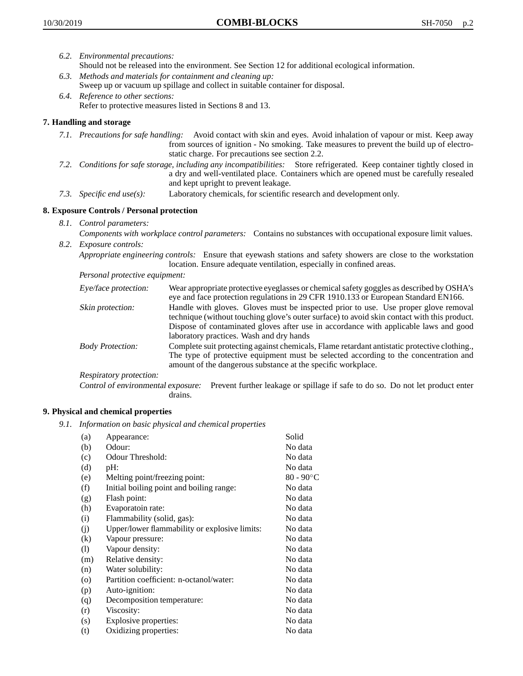- *6.2. Environmental precautions:*
	- Should not be released into the environment. See Section 12 for additional ecological information.
- *6.3. Methods and materials for containment and cleaning up:* Sweep up or vacuum up spillage and collect in suitable container for disposal.
- *6.4. Reference to other sections:* Refer to protective measures listed in Sections 8 and 13.

## **7. Handling and storage**

- *7.1. Precautions for safe handling:* Avoid contact with skin and eyes. Avoid inhalation of vapour or mist. Keep away from sources of ignition - No smoking. Take measures to prevent the build up of electrostatic charge. For precautions see section 2.2.
- *7.2. Conditions for safe storage, including any incompatibilities:* Store refrigerated. Keep container tightly closed in a dry and well-ventilated place. Containers which are opened must be carefully resealed and kept upright to prevent leakage.
- *7.3. Specific end use(s):* Laboratory chemicals, for scientific research and development only.

## **8. Exposure Controls / Personal protection**

- *8.1. Control parameters:*
- *Components with workplace control parameters:* Contains no substances with occupational exposure limit values. *8.2. Exposure controls:*

*Appropriate engineering controls:* Ensure that eyewash stations and safety showers are close to the workstation location. Ensure adequate ventilation, especially in confined areas.

*Personal protective equipment:*

| Eye/face protection:    | Wear appropriate protective eyeglasses or chemical safety goggles as described by OSHA's<br>eye and face protection regulations in 29 CFR 1910.133 or European Standard EN166.                                                                                                                                         |
|-------------------------|------------------------------------------------------------------------------------------------------------------------------------------------------------------------------------------------------------------------------------------------------------------------------------------------------------------------|
| Skin protection:        | Handle with gloves. Gloves must be inspected prior to use. Use proper glove removal<br>technique (without touching glove's outer surface) to avoid skin contact with this product.<br>Dispose of contaminated gloves after use in accordance with applicable laws and good<br>laboratory practices. Wash and dry hands |
| <b>Body Protection:</b> | Complete suit protecting against chemicals, Flame retardant antistatic protective clothing.,<br>The type of protective equipment must be selected according to the concentration and<br>amount of the dangerous substance at the specific workplace.                                                                   |
| Respiratory protection: |                                                                                                                                                                                                                                                                                                                        |

Control of environmental exposure: Prevent further leakage or spillage if safe to do so. Do not let product enter drains.

#### **9. Physical and chemical properties**

*9.1. Information on basic physical and chemical properties*

| (a)                | Appearance:                                   | Solid              |
|--------------------|-----------------------------------------------|--------------------|
| (b)                | Odour:                                        | No data            |
| (c)                | Odour Threshold:                              | No data            |
| (d)                | pH:                                           | No data            |
| (e)                | Melting point/freezing point:                 | $80 - 90^{\circ}C$ |
| (f)                | Initial boiling point and boiling range:      | No data            |
| (g)                | Flash point:                                  | No data            |
| (h)                | Evaporatoin rate:                             | No data            |
| (i)                | Flammability (solid, gas):                    | No data            |
| (j)                | Upper/lower flammability or explosive limits: | No data            |
| $\rm(k)$           | Vapour pressure:                              | No data            |
| (1)                | Vapour density:                               | No data            |
| (m)                | Relative density:                             | No data            |
| (n)                | Water solubility:                             | No data            |
| $\left( 0 \right)$ | Partition coefficient: n-octanol/water:       | No data            |
| (p)                | Auto-ignition:                                | No data            |
| (q)                | Decomposition temperature:                    | No data            |
| (r)                | Viscosity:                                    | No data            |
| (s)                | Explosive properties:                         | No data            |
| (t)                | Oxidizing properties:                         | No data            |